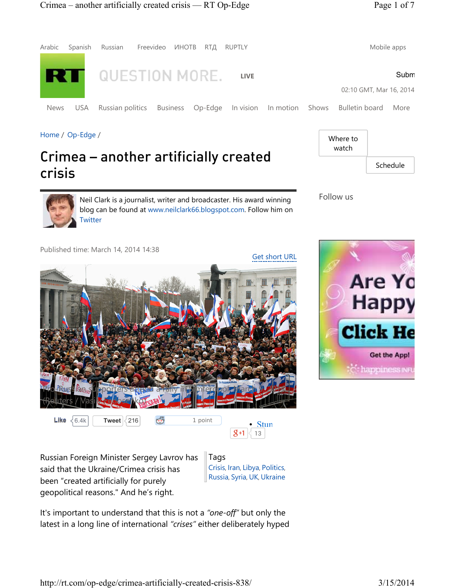

Home / Op-Edge /

## Crimea – another artificially created crisis

Neil Clark is a journalist, writer and broadcaster. His award winning blog can be found at www.neilclark66.blogspot.com. Follow him on **Twitter** 

Follow us

Where to watch







Russian Foreign Minister Sergey Lavrov has said that the Ukraine/Crimea crisis has been "created artificially for purely geopolitical reasons." And he's right.

Tags Crisis, Iran, Libya, Politics, Russia, Syria, UK, Ukraine

 $|8+1|$  13

It's important to understand that this is not a *"one-off"* but only the latest in a long line of international *"crises"* either deliberately hyped Schedule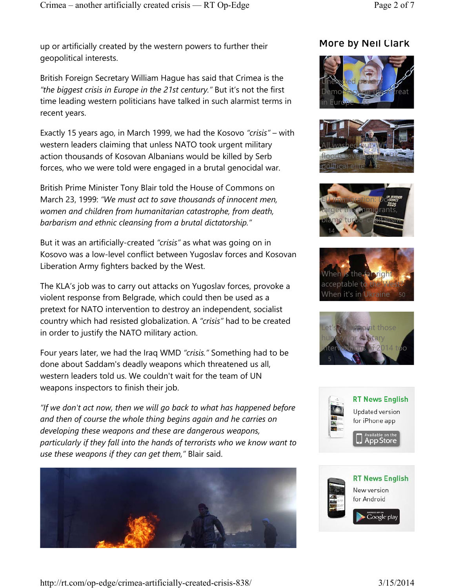up or artificially created by the western powers to further their geopolitical interests.

British Foreign Secretary William Hague has said that Crimea is the *"the biggest crisis in Europe in the 21st century."* But it's not the first time leading western politicians have talked in such alarmist terms in recent years.

Exactly 15 years ago, in March 1999, we had the Kosovo *"crisis"* – with western leaders claiming that unless NATO took urgent military action thousands of Kosovan Albanians would be killed by Serb forces, who we were told were engaged in a brutal genocidal war.

British Prime Minister Tony Blair told the House of Commons on March 23, 1999: *"We must act to save thousands of innocent men, women and children from humanitarian catastrophe, from death, barbarism and ethnic cleansing from a brutal dictatorship."*

But it was an artificially-created *"crisis"* as what was going on in Kosovo was a low-level conflict between Yugoslav forces and Kosovan Liberation Army fighters backed by the West.

The KLA's job was to carry out attacks on Yugoslav forces, provoke a violent response from Belgrade, which could then be used as a pretext for NATO intervention to destroy an independent, socialist country which had resisted globalization. A *"crisis"* had to be created in order to justify the NATO military action.

Four years later, we had the Iraq WMD *"crisis."* Something had to be done about Saddam's deadly weapons which threatened us all, western leaders told us. We couldn't wait for the team of UN weapons inspectors to finish their job.

*"If we don't act now, then we will go back to what has happened before and then of course the whole thing begins again and he carries on developing these weapons and these are dangerous weapons, particularly if they fall into the hands of terrorists who we know want to use these weapons if they can get them,"* Blair said.



## More by Neil Clark













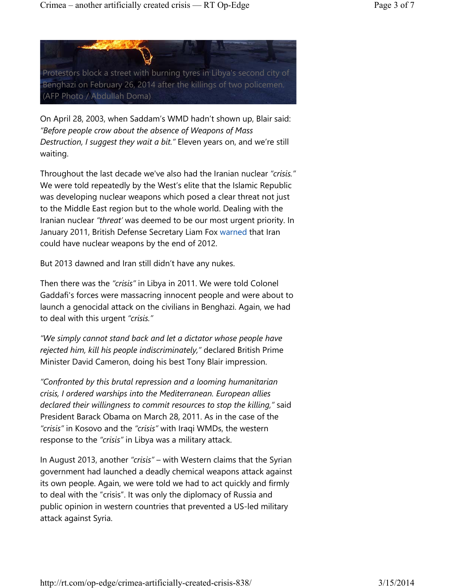

On April 28, 2003, when Saddam's WMD hadn't shown up, Blair said: *"Before people crow about the absence of Weapons of Mass Destruction, I suggest they wait a bit."* Eleven years on, and we're still waiting.

Throughout the last decade we've also had the Iranian nuclear *"crisis."* We were told repeatedly by the West's elite that the Islamic Republic was developing nuclear weapons which posed a clear threat not just to the Middle East region but to the whole world. Dealing with the Iranian nuclear *"threat'* was deemed to be our most urgent priority. In January 2011, British Defense Secretary Liam Fox warned that Iran could have nuclear weapons by the end of 2012.

But 2013 dawned and Iran still didn't have any nukes.

Then there was the *"crisis"* in Libya in 2011. We were told Colonel Gaddafi's forces were massacring innocent people and were about to launch a genocidal attack on the civilians in Benghazi. Again, we had to deal with this urgent *"crisis."*

*"We simply cannot stand back and let a dictator whose people have rejected him, kill his people indiscriminately,"* declared British Prime Minister David Cameron, doing his best Tony Blair impression.

*"Confronted by this brutal repression and a looming humanitarian crisis, I ordered warships into the Mediterranean. European allies declared their willingness to commit resources to stop the killing,"* said President Barack Obama on March 28, 2011. As in the case of the *"crisis"* in Kosovo and the *"crisis"* with Iraqi WMDs, the western response to the *"crisis"* in Libya was a military attack.

In August 2013, another *"crisis"* – with Western claims that the Syrian government had launched a deadly chemical weapons attack against its own people. Again, we were told we had to act quickly and firmly to deal with the "crisis". It was only the diplomacy of Russia and public opinion in western countries that prevented a US-led military attack against Syria.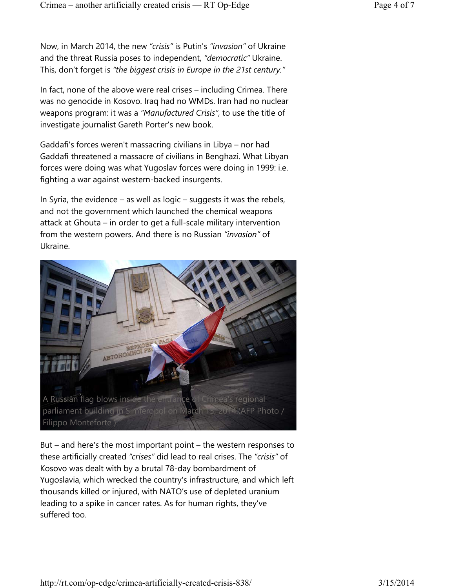Now, in March 2014, the new *"crisis"* is Putin's *"invasion"* of Ukraine and the threat Russia poses to independent, *"democratic"* Ukraine. This, don't forget is *"the biggest crisis in Europe in the 21st century."*

In fact, none of the above were real crises – including Crimea. There was no genocide in Kosovo. Iraq had no WMDs. Iran had no nuclear weapons program: it was a *"Manufactured Crisis"*, to use the title of investigate journalist Gareth Porter's new book.

Gaddafi's forces weren't massacring civilians in Libya – nor had Gaddafi threatened a massacre of civilians in Benghazi. What Libyan forces were doing was what Yugoslav forces were doing in 1999: i.e. fighting a war against western-backed insurgents.

In Syria, the evidence – as well as logic – suggests it was the rebels, and not the government which launched the chemical weapons attack at Ghouta – in order to get a full-scale military intervention from the western powers. And there is no Russian *"invasion"* of Ukraine.



But – and here's the most important point – the western responses to these artificially created *"crises"* did lead to real crises. The *"crisis"* of Kosovo was dealt with by a brutal 78-day bombardment of Yugoslavia, which wrecked the country's infrastructure, and which left thousands killed or injured, with NATO's use of depleted uranium leading to a spike in cancer rates. As for human rights, they've suffered too.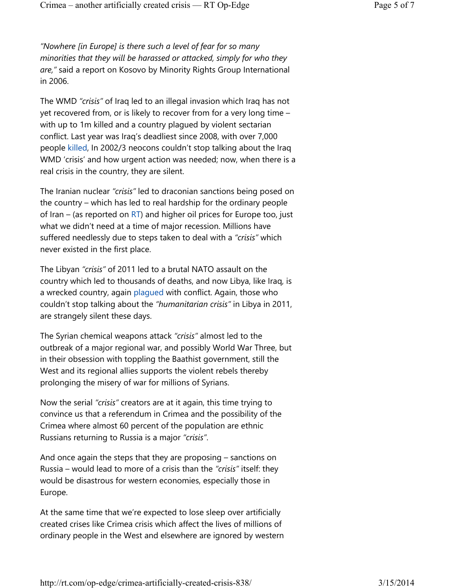*"Nowhere [in Europe] is there such a level of fear for so many minorities that they will be harassed or attacked, simply for who they are,"* said a report on Kosovo by Minority Rights Group International in 2006.

The WMD *"crisis"* of Iraq led to an illegal invasion which Iraq has not yet recovered from, or is likely to recover from for a very long time – with up to 1m killed and a country plagued by violent sectarian conflict. Last year was Iraq's deadliest since 2008, with over 7,000 people killed, In 2002/3 neocons couldn't stop talking about the Iraq WMD 'crisis' and how urgent action was needed; now, when there is a real crisis in the country, they are silent.

The Iranian nuclear *"crisis"* led to draconian sanctions being posed on the country – which has led to real hardship for the ordinary people of Iran – (as reported on  $RT$ ) and higher oil prices for Europe too, just what we didn't need at a time of major recession. Millions have suffered needlessly due to steps taken to deal with a *"crisis"* which never existed in the first place.

The Libyan *"crisis"* of 2011 led to a brutal NATO assault on the country which led to thousands of deaths, and now Libya, like Iraq, is a wrecked country, again plagued with conflict. Again, those who couldn't stop talking about the *"humanitarian crisis"* in Libya in 2011, are strangely silent these days.

The Syrian chemical weapons attack *"crisis"* almost led to the outbreak of a major regional war, and possibly World War Three, but in their obsession with toppling the Baathist government, still the West and its regional allies supports the violent rebels thereby prolonging the misery of war for millions of Syrians.

Now the serial *"crisis"* creators are at it again, this time trying to convince us that a referendum in Crimea and the possibility of the Crimea where almost 60 percent of the population are ethnic Russians returning to Russia is a major *"crisis"*.

And once again the steps that they are proposing – sanctions on Russia – would lead to more of a crisis than the *"crisis"* itself: they would be disastrous for western economies, especially those in Europe.

At the same time that we're expected to lose sleep over artificially created crises like Crimea crisis which affect the lives of millions of ordinary people in the West and elsewhere are ignored by western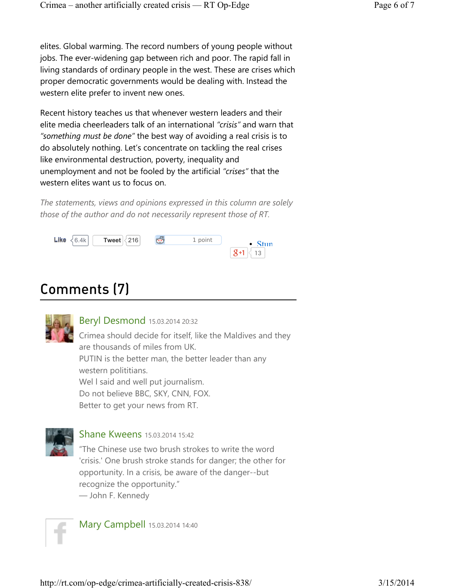elites. Global warming. The record numbers of young people without jobs. The ever-widening gap between rich and poor. The rapid fall in living standards of ordinary people in the west. These are crises which proper democratic governments would be dealing with. Instead the western elite prefer to invent new ones.

Recent history teaches us that whenever western leaders and their elite media cheerleaders talk of an international *"crisis"* and warn that *"something must be done"* the best way of avoiding a real crisis is to do absolutely nothing. Let's concentrate on tackling the real crises like environmental destruction, poverty, inequality and unemployment and not be fooled by the artificial *"crises"* that the western elites want us to focus on.

*The statements, views and opinions expressed in this column are solely those of the author and do not necessarily represent those of RT.*



## Comments (7)



Beryl Desmond 15.03.2014 20:32

Crimea should decide for itself, like the Maldives and they are thousands of miles from UK. PUTIN is the better man, the better leader than any western polititians. Wel I said and well put journalism. Do not believe BBC, SKY, CNN, FOX. Better to get your news from RT.



**Shane Kweens 15.03.2014 15:42** 

"The Chinese use two brush strokes to write the word 'crisis.' One brush stroke stands for danger; the other for opportunity. In a crisis, be aware of the danger--but recognize the opportunity."

― John F. Kennedy



Mary Campbell 15.03.2014 14:40